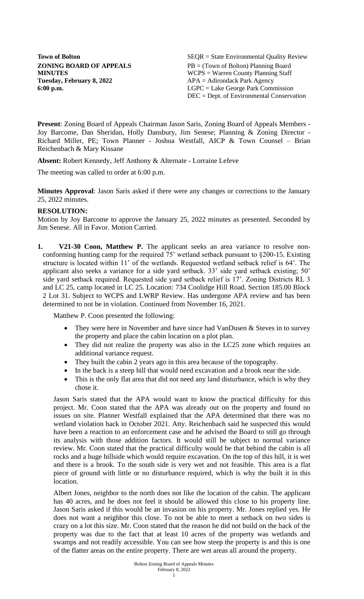**Tuesday, February 8, 2022** APA = Adirondack Park Agency

**Town of Bolton** SEQR = State Environmental Quality Review **ZONING BOARD OF APPEALS** PB = (Town of Bolton) Planning Board **MINUTES** WCPS = Warren County Planning Staff **6:00 p.m.** LGPC = Lake George Park Commission DEC = Dept. of Environmental Conservation

**Present**: Zoning Board of Appeals Chairman Jason Saris, Zoning Board of Appeals Members - Joy Barcome, Dan Sheridan, Holly Dansbury, Jim Senese; Planning & Zoning Director - Richard Miller, PE; Town Planner - Joshua Westfall, AICP & Town Counsel – Brian Reichenbach & Mary Kissane

**Absent:** Robert Kennedy, Jeff Anthony & Alternate - Lorraine Lefeve

The meeting was called to order at 6:00 p.m.

**Minutes Approval**: Jason Saris asked if there were any changes or corrections to the January 25, 2022 minutes.

# **RESOLUTION:**

Motion by Joy Barcome to approve the January 25, 2022 minutes as presented. Seconded by Jim Senese. All in Favor. Motion Carried.

**1. V21-30 Coon, Matthew P.** The applicant seeks an area variance to resolve nonconforming hunting camp for the required 75' wetland setback pursuant to §200-15. Existing structure is located within 11' of the wetlands. Requested wetland setback relief is 64'. The applicant also seeks a variance for a side yard setback. 33' side yard setback existing; 50' side yard setback required. Requested side yard setback relief is 17'. Zoning Districts RL 3 and LC 25, camp located in LC 25. Location: 734 Coolidge Hill Road. Section 185.00 Block 2 Lot 31. Subject to WCPS and LWRP Review. Has undergone APA review and has been determined to not be in violation. Continued from November 16, 2021.

Matthew P. Coon presented the following:

- They were here in November and have since had VanDusen & Steves in to survey the property and place the cabin location on a plot plan.
- They did not realize the property was also in the LC25 zone which requires an additional variance request.
- They built the cabin 2 years ago in this area because of the topography.
- In the back is a steep hill that would need excavation and a brook near the side.
- This is the only flat area that did not need any land disturbance, which is why they chose it.

Jason Saris stated that the APA would want to know the practical difficulty for this project. Mr. Coon stated that the APA was already out on the property and found no issues on site. Planner Westfall explained that the APA determined that there was no wetland violation back in October 2021. Atty. Reichenbach said he suspected this would have been a reaction to an enforcement case and he advised the Board to still go through its analysis with those addition factors. It would still be subject to normal variance review. Mr. Coon stated that the practical difficulty would be that behind the cabin is all rocks and a huge hillside which would require excavation. On the top of this hill, it is wet and there is a brook. To the south side is very wet and not feasible. This area is a flat piece of ground with little or no disturbance required, which is why the built it in this location.

Albert Jones, neighbor to the north does not like the location of the cabin. The applicant has 40 acres, and he does not feel it should be allowed this close to his property line. Jason Saris asked if this would be an invasion on his property. Mr. Jones replied yes. He does not want a neighbor this close. To not be able to meet a setback on two sides is crazy on a lot this size. Mr. Coon stated that the reason he did not build on the back of the property was due to the fact that at least 10 acres of the property was wetlands and swamps and not readily accessible. You can see how steep the property is and this is one of the flatter areas on the entire property. There are wet areas all around the property.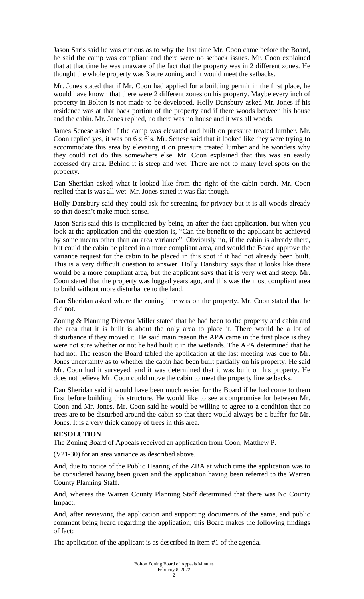Jason Saris said he was curious as to why the last time Mr. Coon came before the Board, he said the camp was compliant and there were no setback issues. Mr. Coon explained that at that time he was unaware of the fact that the property was in 2 different zones. He thought the whole property was 3 acre zoning and it would meet the setbacks.

Mr. Jones stated that if Mr. Coon had applied for a building permit in the first place, he would have known that there were 2 different zones on his property. Maybe every inch of property in Bolton is not made to be developed. Holly Dansbury asked Mr. Jones if his residence was at that back portion of the property and if there woods between his house and the cabin. Mr. Jones replied, no there was no house and it was all woods.

James Senese asked if the camp was elevated and built on pressure treated lumber. Mr. Coon replied yes, it was on 6 x 6's. Mr. Senese said that it looked like they were trying to accommodate this area by elevating it on pressure treated lumber and he wonders why they could not do this somewhere else. Mr. Coon explained that this was an easily accessed dry area. Behind it is steep and wet. There are not to many level spots on the property.

Dan Sheridan asked what it looked like from the right of the cabin porch. Mr. Coon replied that is was all wet. Mr. Jones stated it was flat though.

Holly Dansbury said they could ask for screening for privacy but it is all woods already so that doesn't make much sense.

Jason Saris said this is complicated by being an after the fact application, but when you look at the application and the question is, "Can the benefit to the applicant be achieved by some means other than an area variance". Obviously no, if the cabin is already there, but could the cabin be placed in a more compliant area, and would the Board approve the variance request for the cabin to be placed in this spot if it had not already been built. This is a very difficult question to answer. Holly Dansbury says that it looks like there would be a more compliant area, but the applicant says that it is very wet and steep. Mr. Coon stated that the property was logged years ago, and this was the most compliant area to build without more disturbance to the land.

Dan Sheridan asked where the zoning line was on the property. Mr. Coon stated that he did not.

Zoning & Planning Director Miller stated that he had been to the property and cabin and the area that it is built is about the only area to place it. There would be a lot of disturbance if they moved it. He said main reason the APA came in the first place is they were not sure whether or not he had built it in the wetlands. The APA determined that he had not. The reason the Board tabled the application at the last meeting was due to Mr. Jones uncertainty as to whether the cabin had been built partially on his property. He said Mr. Coon had it surveyed, and it was determined that it was built on his property. He does not believe Mr. Coon could move the cabin to meet the property line setbacks.

Dan Sheridan said it would have been much easier for the Board if he had come to them first before building this structure. He would like to see a compromise for between Mr. Coon and Mr. Jones. Mr. Coon said he would be willing to agree to a condition that no trees are to be disturbed around the cabin so that there would always be a buffer for Mr. Jones. It is a very thick canopy of trees in this area.

## **RESOLUTION**

The Zoning Board of Appeals received an application from Coon, Matthew P.

(V21-30) for an area variance as described above.

And, due to notice of the Public Hearing of the ZBA at which time the application was to be considered having been given and the application having been referred to the Warren County Planning Staff.

And, whereas the Warren County Planning Staff determined that there was No County Impact.

And, after reviewing the application and supporting documents of the same, and public comment being heard regarding the application; this Board makes the following findings of fact:

The application of the applicant is as described in Item #1 of the agenda.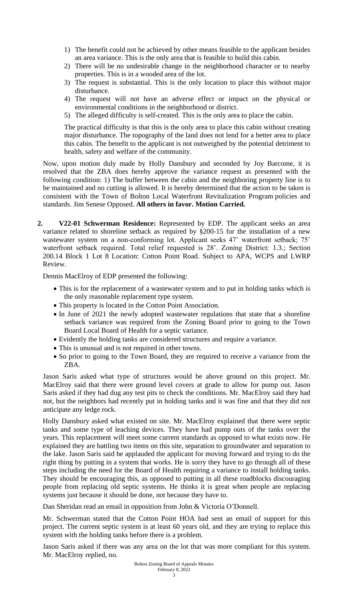- 1) The benefit could not be achieved by other means feasible to the applicant besides an area variance. This is the only area that is feasible to build this cabin.
- 2) There will be no undesirable change in the neighborhood character or to nearby properties. This is in a wooded area of the lot.
- 3) The request is substantial. This is the only location to place this without major disturbance.
- 4) The request will not have an adverse effect or impact on the physical or environmental conditions in the neighborhood or district.
- 5) The alleged difficulty is self-created. This is the only area to place the cabin.

The practical difficulty is that this is the only area to place this cabin without creating major disturbance. The topography of the land does not lend for a better area to place this cabin. The benefit to the applicant is not outweighed by the potential detriment to health, safety and welfare of the community.

Now, upon motion duly made by Holly Dansbury and seconded by Joy Barcome, it is resolved that the ZBA does hereby approve the variance request as presented with the following condition: 1) The buffer between the cabin and the neighboring property line is to be maintained and no cutting is allowed. It is hereby determined that the action to be taken is consistent with the Town of Bolton Local Waterfront Revitalization Program policies and standards. Jim Senese Opposed. **All others in favor. Motion Carried.**

**2. V22-01 Schwerman Residence:** Represented by EDP. The applicant seeks an area variance related to shoreline setback as required by §200-15 for the installation of a new wastewater system on a non-conforming lot. Applicant seeks 47' waterfront setback; 75' waterfront setback required. Total relief requested is 28'. Zoning District: 1.3.; Section 200.14 Block 1 Lot 8 Location: Cotton Point Road. Subject to APA, WCPS and LWRP Review.

Dennis MacElroy of EDP presented the following:

- This is for the replacement of a wastewater system and to put in holding tanks which is the only reasonable replacement type system.
- This property is located in the Cotton Point Association.
- In June of 2021 the newly adopted wastewater regulations that state that a shoreline setback variance was required from the Zoning Board prior to going to the Town Board Local Board of Health for a septic variance.
- Evidently the holding tanks are considered structures and require a variance.
- This is unusual and is not required in other towns.
- So prior to going to the Town Board, they are required to receive a variance from the ZBA.

Jason Saris asked what type of structures would be above ground on this project. Mr. MacElroy said that there were ground level covers at grade to allow for pump out. Jason Saris asked if they had dug any test pits to check the conditions. Mr. MacElroy said they had not, but the neighbors had recently put in holding tanks and it was fine and that they did not anticipate any ledge rock.

Holly Dansbury asked what existed on site. Mr. MacElroy explained that there were septic tanks and some type of leaching devices. They have had pump outs of the tanks over the years. This replacement will meet some current standards as opposed to what exists now. He explained they are battling two items on this site, separation to groundwater and separation to the lake. Jason Saris said he applauded the applicant for moving forward and trying to do the right thing by putting in a system that works. He is sorry they have to go through all of these steps including the need for the Board of Health requiring a variance to install holding tanks. They should be encouraging this, as opposed to putting in all these roadblocks discouraging people from replacing old septic systems. He thinks it is great when people are replacing systems just because it should be done, not because they have to.

Dan Sheridan read an email in opposition from John & Victoria O'Donnell.

Mr. Schwerman stated that the Cotton Point HOA had sent an email of support for this project. The current septic system is at least 60 years old, and they are trying to replace this system with the holding tanks before there is a problem.

Jason Saris asked if there was any area on the lot that was more compliant for this system. Mr. MacElroy replied, no.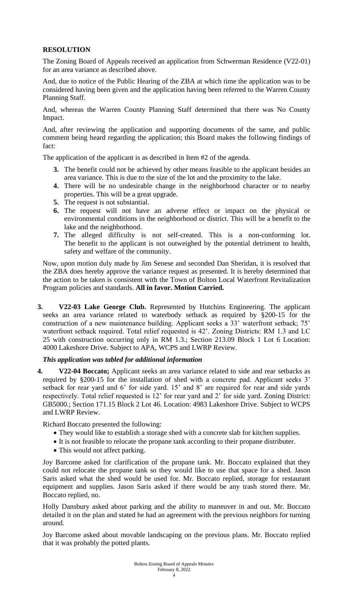# **RESOLUTION**

The Zoning Board of Appeals received an application from Schwerman Residence (V22-01) for an area variance as described above.

And, due to notice of the Public Hearing of the ZBA at which time the application was to be considered having been given and the application having been referred to the Warren County Planning Staff.

And, whereas the Warren County Planning Staff determined that there was No County Impact.

And, after reviewing the application and supporting documents of the same, and public comment being heard regarding the application; this Board makes the following findings of fact:

The application of the applicant is as described in Item #2 of the agenda.

- **3.** The benefit could not be achieved by other means feasible to the applicant besides an area variance. This is due to the size of the lot and the proximity to the lake.
- **4.** There will be no undesirable change in the neighborhood character or to nearby properties. This will be a great upgrade.
- **5.** The request is not substantial.
- **6.** The request will not have an adverse effect or impact on the physical or environmental conditions in the neighborhood or district. This will be a benefit to the lake and the neighborhood.
- **7.** The alleged difficulty is not self-created. This is a non-conforming lot. The benefit to the applicant is not outweighed by the potential detriment to health, safety and welfare of the community.

Now, upon motion duly made by Jim Senese and seconded Dan Sheridan, it is resolved that the ZBA does hereby approve the variance request as presented. It is hereby determined that the action to be taken is consistent with the Town of Bolton Local Waterfront Revitalization Program policies and standards. **All in favor. Motion Carried.**

**3. V22-03 Lake George Club.** Represented by Hutchins Engineering. The applicant seeks an area variance related to waterbody setback as required by §200-15 for the construction of a new maintenance building. Applicant seeks a 33' waterfront setback; 75' waterfront setback required. Total relief requested is 42'. Zoning Districts: RM 1.3 and LC 25 with construction occurring only in RM 1.3.; Section 213.09 Block 1 Lot 6 Location: 4000 Lakeshore Drive. Subject to APA, WCPS and LWRP Review.

## *This application was tabled for additional information*

**4. V22-04 Boccato;** Applicant seeks an area variance related to side and rear setbacks as required by §200-15 for the installation of shed with a concrete pad. Applicant seeks 3' setback for rear yard and 6' for side yard. 15' and 8' are required for rear and side yards respectively. Total relief requested is 12' for rear yard and 2' for side yard. Zoning District: GB5000.; Section 171.15 Block 2 Lot 46. Location: 4983 Lakeshore Drive. Subject to WCPS and LWRP Review.

Richard Boccato presented the following:

- They would like to establish a storage shed with a concrete slab for kitchen supplies.
- It is not feasible to relocate the propane tank according to their propane distributer.
- This would not affect parking.

Joy Barcome asked for clarification of the propane tank. Mr. Boccato explained that they could not relocate the propane tank so they would like to use that space for a shed. Jason Saris asked what the shed would be used for. Mr. Boccato replied, storage for restaurant equipment and supplies. Jason Saris asked if there would be any trash stored there. Mr. Boccato replied, no.

Holly Dansbury asked about parking and the ability to maneuver in and out. Mr. Boccato detailed it on the plan and stated he had an agreement with the previous neighbors for turning around.

Joy Barcome asked about movable landscaping on the previous plans. Mr. Boccato replied that it was probably the potted plants.